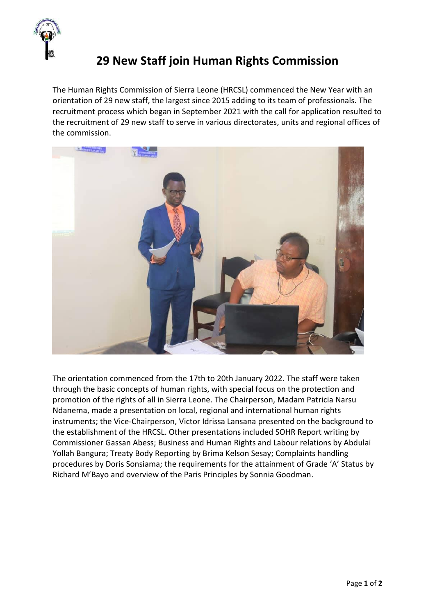

## **29 New Staff join Human Rights Commission**

The Human Rights Commission of Sierra Leone (HRCSL) commenced the New Year with an orientation of 29 new staff, the largest since 2015 adding to its team of professionals. The recruitment process which began in September 2021 with the call for application resulted to the recruitment of 29 new staff to serve in various directorates, units and regional offices of the commission.



The orientation commenced from the 17th to 20th January 2022. The staff were taken through the basic concepts of human rights, with special focus on the protection and promotion of the rights of all in Sierra Leone. The Chairperson, Madam Patricia Narsu Ndanema, made a presentation on local, regional and international human rights instruments; the Vice-Chairperson, Victor Idrissa Lansana presented on the background to the establishment of the HRCSL. Other presentations included SOHR Report writing by Commissioner Gassan Abess; Business and Human Rights and Labour relations by Abdulai Yollah Bangura; Treaty Body Reporting by Brima Kelson Sesay; Complaints handling procedures by Doris Sonsiama; the requirements for the attainment of Grade 'A' Status by Richard M'Bayo and overview of the Paris Principles by Sonnia Goodman.